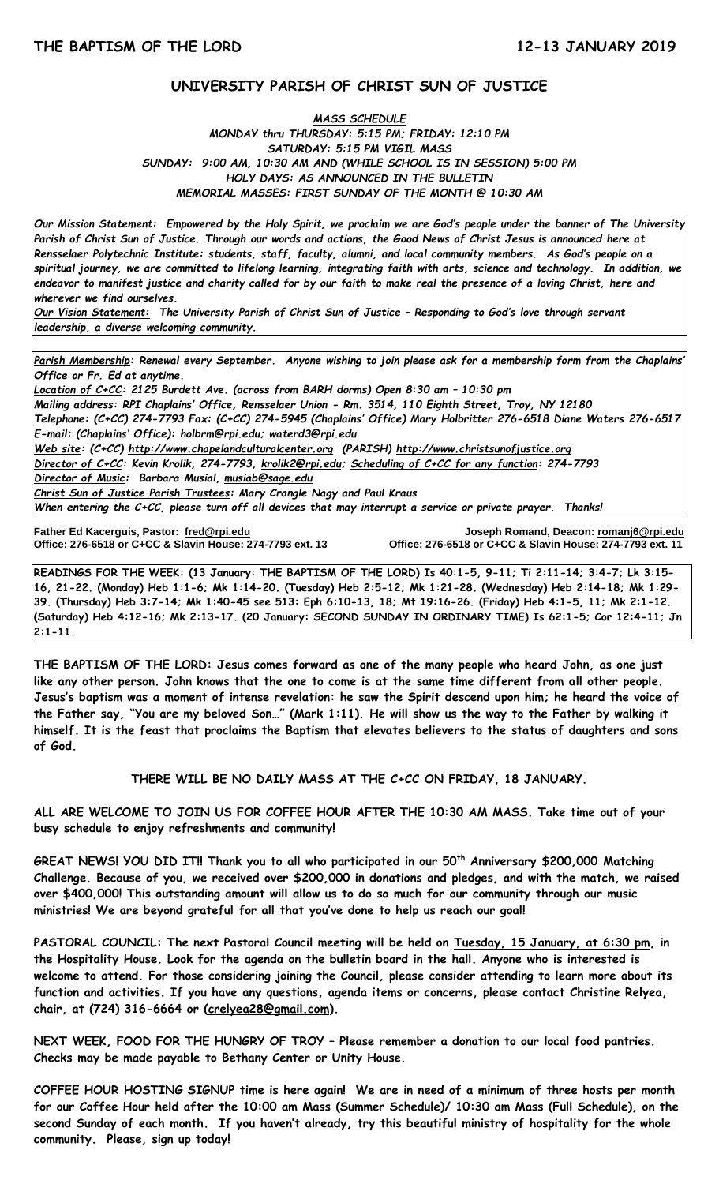# **UNIVERSITY PARISH OF CHRIST SUN OF JUSTICE**

## *MASS SCHEDULE MONDAY thru THURSDAY: 5:15 PM; FRIDAY: 12:10 PM SATURDAY: 5:15 PM VIGIL MASS SUNDAY: 9:00 AM, 10:30 AM AND (WHILE SCHOOL IS IN SESSION) 5:00 PM HOLY DAYS: AS ANNOUNCED IN THE BULLETIN MEMORIAL MASSES: FIRST SUNDAY OF THE MONTH @ 10:30 AM*

*Our Mission Statement:**Empowered by the Holy Spirit, we proclaim we are God's people under the banner of The University Parish of Christ Sun of Justice. Through our words and actions, the Good News of Christ Jesus is announced here at Rensselaer Polytechnic Institute: students, staff, faculty, alumni, and local community members. As God's people on a spiritual journey, we are committed to lifelong learning, integrating faith with arts, science and technology. In addition, we endeavor to manifest justice and charity called for by our faith to make real the presence of a loving Christ, here and wherever we find ourselves.*

*Our Vision Statement: The University Parish of Christ Sun of Justice – Responding to God's love through servant leadership, a diverse welcoming community.*

*Parish Membership: Renewal every September. Anyone wishing to join please ask for a membership form from the Chaplains' Office or Fr. Ed at anytime. Location of C+CC: 2125 Burdett Ave. (across from BARH dorms) Open 8:30 am – 10:30 pm Mailing address: RPI Chaplains' Office, Rensselaer Union - Rm. 3514, 110 Eighth Street, Troy, NY 12180 Telephone: (C+CC) 274-7793 Fax: (C+CC) 274-5945 (Chaplains' Office) Mary Holbritter 276-6518 Diane Waters 276-6517 E-mail: (Chaplains' Office): [holbrm@rpi.edu;](mailto:holbrm@rpi.edu) waterd3@rpi.edu Web site: (C+CC) [http://www.chapelandculturalcenter.org](http://www.chapelandculturalcenter.org/) (PARISH) http://www.christsunofjustice.org Director of C+CC: Kevin Krolik, 274-7793, krolik2@rpi.edu; Scheduling of C+CC for any function: 274-7793 Director of Music: Barbara Musial, [musiab@sage.edu](mailto:musiab@sage.edu) Christ Sun of Justice Parish Trustees: Mary Crangle Nagy and Paul Kraus When entering the C+CC, please turn off all devices that may interrupt a service or private prayer. Thanks!*  İ

**Father Ed Kacerguis, Pastor: [fred@rpi.edu](mailto:fred@rpi.edu) Joseph Romand, Deacon[: romanj6@rpi.edu](mailto:romanj6@rpi.edu) Office: 276-6518 or C+CC & Slavin House: 274-7793 ext. 11** 

**READINGS FOR THE WEEK: (13 January: THE BAPTISM OF THE LORD) Is 40:1-5, 9-11; Ti 2:11-14; 3:4-7; Lk 3:15- 16, 21-22. (Monday) Heb 1:1-6; Mk 1:14-20. (Tuesday) Heb 2:5-12; Mk 1:21-28. (Wednesday) Heb 2:14-18; Mk 1:29- 39. (Thursday) Heb 3:7-14; Mk 1:40-45 see 513: Eph 6:10-13, 18; Mt 19:16-26. (Friday) Heb 4:1-5, 11; Mk 2:1-12. (Saturday) Heb 4:12-16; Mk 2:13-17. (20 January: SECOND SUNDAY IN ORDINARY TIME) Is 62:1-5; Cor 12:4-11; Jn 2:1-11.**

**THE BAPTISM OF THE LORD: Jesus comes forward as one of the many people who heard John, as one just like any other person. John knows that the one to come is at the same time different from all other people. Jesus's baptism was a moment of intense revelation: he saw the Spirit descend upon him; he heard the voice of the Father say, "You are my beloved Son…" (Mark 1:11). He will show us the way to the Father by walking it himself. It is the feast that proclaims the Baptism that elevates believers to the status of daughters and sons of God.** 

**THERE WILL BE NO DAILY MASS AT THE C+CC ON FRIDAY, 18 JANUARY.**

**ALL ARE WELCOME TO JOIN US FOR COFFEE HOUR AFTER THE 10:30 AM MASS. Take time out of your busy schedule to enjoy refreshments and community!** 

**GREAT NEWS! YOU DID IT!! Thank you to all who participated in our 50th Anniversary \$200,000 Matching Challenge. Because of you, we received over \$200,000 in donations and pledges, and with the match, we raised over \$400,000! This outstanding amount will allow us to do so much for our community through our music ministries! We are beyond grateful for all that you've done to help us reach our goal!**

**PASTORAL COUNCIL: The next Pastoral Council meeting will be held on Tuesday, 15 January, at 6:30 pm, in the Hospitality House. Look for the agenda on the bulletin board in the hall. Anyone who is interested is welcome to attend. For those considering joining the Council, please consider attending to learn more about its function and activities. If you have any questions, agenda items or concerns, please contact Christine Relyea, chair, at (724) 316-6664 or [\(crelyea28@gmail.com\)](mailto:crelyea28@gmail.com).**

**NEXT WEEK, FOOD FOR THE HUNGRY OF TROY – Please remember a donation to our local food pantries. Checks may be made payable to Bethany Center or Unity House.** 

**COFFEE HOUR HOSTING SIGNUP time is here again! We are in need of a minimum of three hosts per month for our Coffee Hour held after the 10:00 am Mass (Summer Schedule)/ 10:30 am Mass (Full Schedule), on the second Sunday of each month. If you haven't already, try this beautiful ministry of hospitality for the whole community. Please, sign up today!**